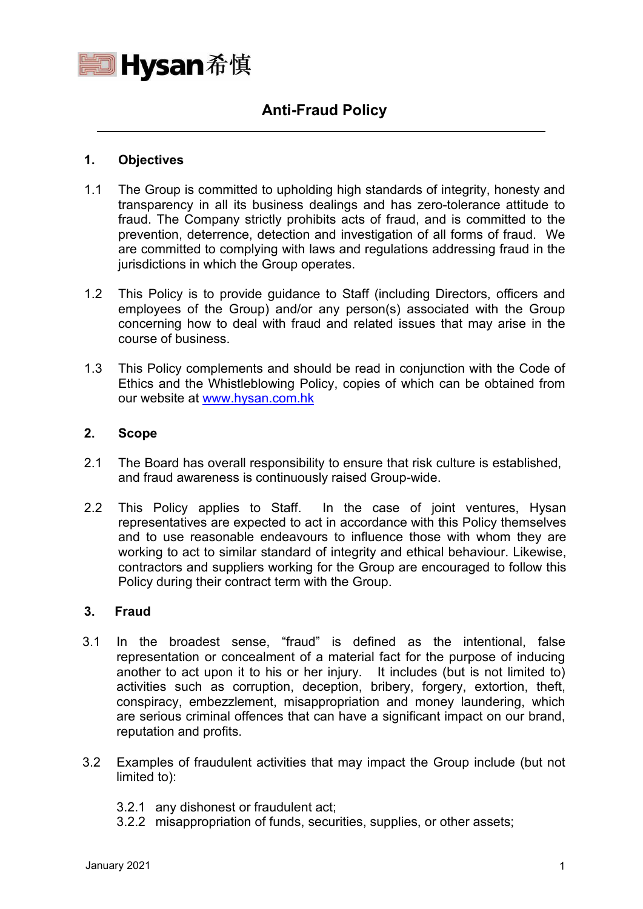

# **Anti-Fraud Policy**

#### **1. Objectives**

- 1.1 The Group is committed to upholding high standards of integrity, honesty and transparency in all its business dealings and has zero-tolerance attitude to fraud. The Company strictly prohibits acts of fraud, and is committed to the prevention, deterrence, detection and investigation of all forms of fraud. We are committed to complying with laws and regulations addressing fraud in the jurisdictions in which the Group operates.
- 1.2 This Policy is to provide guidance to Staff (including Directors, officers and employees of the Group) and/or any person(s) associated with the Group concerning how to deal with fraud and related issues that may arise in the course of business.
- 1.3 This Policy complements and should be read in conjunction with the Code of Ethics and the Whistleblowing Policy, copies of which can be obtained from our website at [www.hysan.com.hk](http://www.hysan.com.hk/)

## **2. Scope**

- 2.1 The Board has overall responsibility to ensure that risk culture is established, and fraud awareness is continuously raised Group-wide.
- 2.2 This Policy applies to Staff. In the case of joint ventures, Hysan representatives are expected to act in accordance with this Policy themselves and to use reasonable endeavours to influence those with whom they are working to act to similar standard of integrity and ethical behaviour. Likewise, contractors and suppliers working for the Group are encouraged to follow this Policy during their contract term with the Group.

#### **3. Fraud**

- 3.1 In the broadest sense, "fraud" is defined as the intentional, false representation or concealment of a material fact for the purpose of inducing another to act upon it to his or her injury. It includes (but is not limited to) activities such as corruption, deception, bribery, forgery, extortion, theft, conspiracy, embezzlement, misappropriation and money laundering, which are serious criminal offences that can have a significant impact on our brand, reputation and profits.
- 3.2 Examples of fraudulent activities that may impact the Group include (but not limited to):
	- 3.2.1 any dishonest or fraudulent act;
	- 3.2.2 misappropriation of funds, securities, supplies, or other assets;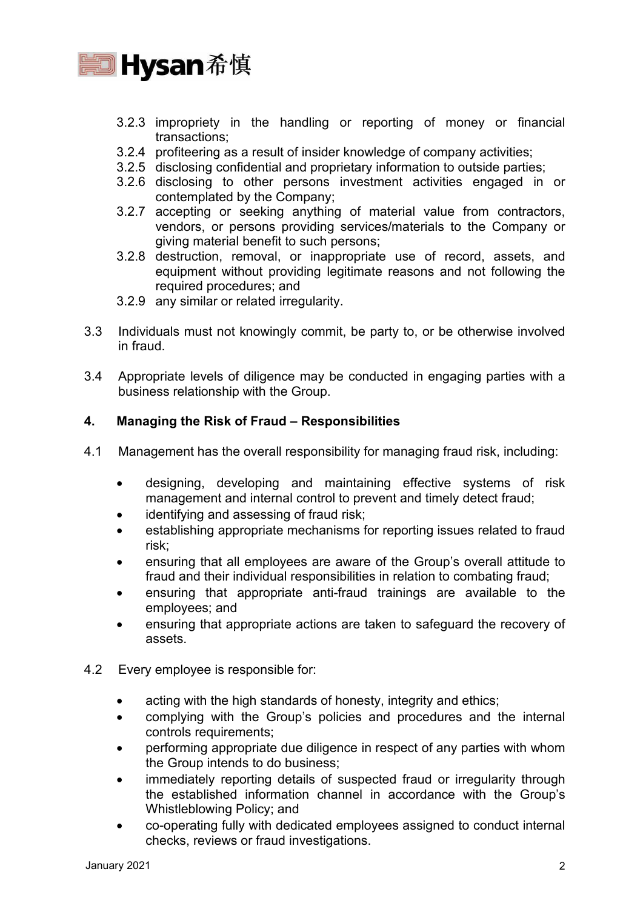

- 3.2.3 impropriety in the handling or reporting of money or financial transactions;
- 3.2.4 profiteering as a result of insider knowledge of company activities;
- 3.2.5 disclosing confidential and proprietary information to outside parties;
- 3.2.6 disclosing to other persons investment activities engaged in or contemplated by the Company;
- 3.2.7 accepting or seeking anything of material value from contractors, vendors, or persons providing services/materials to the Company or giving material benefit to such persons;
- 3.2.8 destruction, removal, or inappropriate use of record, assets, and equipment without providing legitimate reasons and not following the required procedures; and
- 3.2.9 any similar or related irregularity.
- 3.3 Individuals must not knowingly commit, be party to, or be otherwise involved in fraud.
- 3.4 Appropriate levels of diligence may be conducted in engaging parties with a business relationship with the Group.

## **4. Managing the Risk of Fraud – Responsibilities**

- 4.1 Management has the overall responsibility for managing fraud risk, including:
	- designing, developing and maintaining effective systems of risk management and internal control to prevent and timely detect fraud;
	- identifying and assessing of fraud risk:
	- establishing appropriate mechanisms for reporting issues related to fraud risk;
	- ensuring that all employees are aware of the Group's overall attitude to fraud and their individual responsibilities in relation to combating fraud;
	- ensuring that appropriate anti-fraud trainings are available to the employees; and
	- ensuring that appropriate actions are taken to safeguard the recovery of assets.
- 4.2 Every employee is responsible for:
	- acting with the high standards of honesty, integrity and ethics;
	- complying with the Group's policies and procedures and the internal controls requirements;
	- performing appropriate due diligence in respect of any parties with whom the Group intends to do business;
	- immediately reporting details of suspected fraud or irregularity through the established information channel in accordance with the Group's Whistleblowing Policy; and
	- co-operating fully with dedicated employees assigned to conduct internal checks, reviews or fraud investigations.